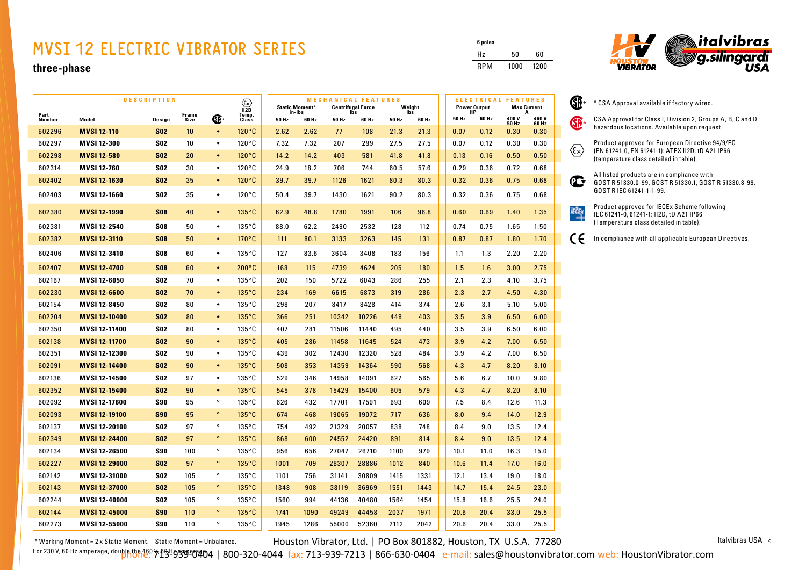## **MVSI 12 ELECTRIC VIBRATOR SERIES**

## **three-phase**

|                | <b>DESCRIPTION</b><br>$\langle \epsilon \rangle$ |            |                      | <b>MECHANICAL FEATURES</b><br><b>Static Moment*</b><br><b>Centrifugal Force</b><br>Ibs |                        |       |                 | Weight |       |              | ELECTRICAL FEATURES<br><b>Power Output</b><br><b>Max Current</b> |  |             |       |               |               |
|----------------|--------------------------------------------------|------------|----------------------|----------------------------------------------------------------------------------------|------------------------|-------|-----------------|--------|-------|--------------|------------------------------------------------------------------|--|-------------|-------|---------------|---------------|
| Part<br>Number | Model                                            | Design     | <b>Frame</b><br>Size | Œ                                                                                      | 112D<br>Temp.<br>Class | 50 Hz | in-Ibs<br>60 Hz | 50 Hz  | 60 Hz | lbs<br>50 Hz | 60 Hz                                                            |  | HP<br>50 Hz | 60 Hz | 400V          | А<br>460V     |
| 602296         | <b>MVSI 12-110</b>                               | <b>S02</b> | 10                   | $\bullet$                                                                              | $120^{\circ}$ C        | 2.62  | 2.62            | 77     | 108   | 21.3         | 21.3                                                             |  | 0.07        | 0.12  | 50 Hz<br>0.30 | 60 Hz<br>0.30 |
| 602297         | <b>MVSI 12-300</b>                               | <b>S02</b> | 10                   | $\bullet$                                                                              | $120^{\circ}$ C        | 7.32  | 7.32            | 207    | 299   | 27.5         | 27.5                                                             |  | 0.07        | 0.12  | 0.30          | 0.30          |
| 602298         | <b>MVSI 12-580</b>                               | <b>S02</b> | 20                   | $\bullet$                                                                              | $120^{\circ}$ C        | 14.2  | 14.2            | 403    | 581   | 41.8         | 41.8                                                             |  | 0.13        | 0.16  | 0.50          | 0.50          |
| 602314         | <b>MVSI 12-760</b>                               | <b>S02</b> | 30                   | $\bullet$                                                                              | $120^{\circ}$ C        | 24.9  | 18.2            | 706    | 744   | 60.5         | 57.6                                                             |  | 0.29        | 0.36  | 0.72          | 0.68          |
| 602402         | <b>MVSI 12-1630</b>                              | <b>S02</b> | 35                   | $\bullet$                                                                              | $120^{\circ}$ C        | 39.7  | 39.7            | 1126   | 1621  | 80.3         | 80.3                                                             |  | 0.32        | 0.36  | 0.75          | 0.68          |
| 602403         | <b>MVSI 12-1660</b>                              | <b>S02</b> | 35                   | $\bullet$                                                                              | $120^{\circ}$ C        | 50.4  | 39.7            | 1430   | 1621  | 90.2         | 80.3                                                             |  | 0.32        | 0.36  | 0.75          | 0.68          |
| 602380         | <b>MVSI 12-1990</b>                              | <b>S08</b> | 40                   | $\bullet$                                                                              | 135°C                  | 62.9  | 48.8            | 1780   | 1991  | 106          | 96.8                                                             |  | 0.60        | 0.69  | 1.40          | 1.35          |
| 602381         | MVSI 12-2540                                     | <b>S08</b> | 50                   | $\bullet$                                                                              | $135^{\circ}$ C        | 88.0  | 62.2            | 2490   | 2532  | 128          | 112                                                              |  | 0.74        | 0.75  | 1.65          | 1.50          |
| 602382         | <b>MVSI 12-3110</b>                              | <b>S08</b> | 50                   | $\bullet$                                                                              | $170^{\circ}$ C        | 111   | 80.1            | 3133   | 3263  | 145          | 131                                                              |  | 0.87        | 0.87  | 1.80          | 1.70          |
| 602406         | MVSI 12-3410                                     | <b>S08</b> | 60                   | $\bullet$                                                                              | $135^{\circ}$ C        | 127   | 83.6            | 3604   | 3408  | 183          | 156                                                              |  | 1.1         | 1.3   | 2.20          | 2.20          |
| 602407         | <b>MVSI 12-4700</b>                              | <b>S08</b> | 60                   | $\bullet$                                                                              | $200^{\circ}$ C        | 168   | 115             | 4739   | 4624  | 205          | 180                                                              |  | 1.5         | 1.6   | 3.00          | 2.75          |
| 602167         | MVSI 12-6050                                     | <b>S02</b> | 70                   | $\bullet$                                                                              | $135^{\circ}$ C        | 202   | 150             | 5722   | 6043  | 286          | 255                                                              |  | 2.1         | 2.3   | 4.10          | 3.75          |
| 602230         | <b>MVSI 12-6600</b>                              | <b>S02</b> | 70                   | $\bullet$                                                                              | 135°C                  | 234   | 169             | 6615   | 6873  | 319          | 286                                                              |  | 2.3         | 2.7   | 4.50          | 4.30          |
| 602154         | <b>MVSI 12-8450</b>                              | <b>S02</b> | 80                   | $\bullet$                                                                              | $135^{\circ}$ C        | 298   | 207             | 8417   | 8428  | 414          | 374                                                              |  | 2.6         | 3.1   | 5.10          | 5.00          |
| 602204         | <b>MVSI 12-10400</b>                             | <b>S02</b> | 80                   | $\bullet$                                                                              | $135^{\circ}$ C        | 366   | 251             | 10342  | 10226 | 449          | 403                                                              |  | 3.5         | 3.9   | 6.50          | 6.00          |
| 602350         | <b>MVSI 12-11400</b>                             | <b>S02</b> | 80                   | $\bullet$                                                                              | $135^{\circ}$ C        | 407   | 281             | 11506  | 11440 | 495          | 440                                                              |  | 3.5         | 3.9   | 6.50          | 6.00          |
| 602138         | <b>MVSI 12-11700</b>                             | <b>S02</b> | 90                   | $\bullet$                                                                              | $135^{\circ}$ C        | 405   | 286             | 11458  | 11645 | 524          | 473                                                              |  | 3.9         | 4.2   | 7.00          | 6.50          |
| 602351         | MVSI 12-12300                                    | <b>S02</b> | 90                   | $\bullet$                                                                              | $135^{\circ}$ C        | 439   | 302             | 12430  | 12320 | 528          | 484                                                              |  | 3.9         | 4.2   | 7.00          | 6.50          |
| 602091         | <b>MVSI 12-14400</b>                             | <b>S02</b> | 90                   | $\bullet$                                                                              | 135°C                  | 508   | 353             | 14359  | 14364 | 590          | 568                                                              |  | 4.3         | 4.7   | 8.20          | 8.10          |
| 602136         | MVSI 12-14500                                    | <b>S02</b> | 97                   | $\bullet$                                                                              | $135^{\circ}$ C        | 529   | 346             | 14958  | 14091 | 627          | 565                                                              |  | 5.6         | 6.7   | 10.0          | 9.80          |
| 602352         | <b>MVSI 12-15400</b>                             | <b>S02</b> | 90                   | $\bullet$                                                                              | $135^{\circ}$ C        | 545   | 378             | 15429  | 15400 | 605          | 579                                                              |  | 4.3         | 4.7   | 8.20          | 8.10          |
| 602092         | <b>MVSI 12-17600</b>                             | <b>S90</b> | 95                   | $\circ$                                                                                | $135^{\circ}$ C        | 626   | 432             | 17701  | 17591 | 693          | 609                                                              |  | 7.5         | 8.4   | 12.6          | 11.3          |
| 602093         | <b>MVSI 12-19100</b>                             | <b>S90</b> | 95                   | $\circ$                                                                                | 135°C                  | 674   | 468             | 19065  | 19072 | 717          | 636                                                              |  | 8.0         | 9.4   | 14.0          | 12.9          |
| 602137         | <b>MVSI 12-20100</b>                             | <b>S02</b> | 97                   | $\circ$                                                                                | $135^{\circ}$ C        | 754   | 492             | 21329  | 20057 | 838          | 748                                                              |  | 8.4         | 9.0   | 13.5          | 12.4          |
| 602349         | <b>MVSI 12-24400</b>                             | <b>S02</b> | 97                   | $\circ$                                                                                | 135°C                  | 868   | 600             | 24552  | 24420 | 891          | 814                                                              |  | 8.4         | 9.0   | 13.5          | 12.4          |
| 602134         | MVSI 12-26500                                    | <b>S90</b> | 100                  | $\circ$                                                                                | $135^{\circ}$ C        | 956   | 656             | 27047  | 26710 | 1100         | 979                                                              |  | 10.1        | 11.0  | 16.3          | 15.0          |
| 602227         | <b>MVSI 12-29000</b>                             | <b>S02</b> | 97                   | $\circ$                                                                                | $135^{\circ}$ C        | 1001  | 709             | 28307  | 28886 | 1012         | 840                                                              |  | 10.6        | 11.4  | 17.0          | 16.0          |
| 602142         | MVSI 12-31000                                    | <b>S02</b> | 105                  | $\circ$                                                                                | $135^{\circ}$ C        | 1101  | 756             | 31141  | 30809 | 1415         | 1331                                                             |  | 12.1        | 13.4  | 19.0          | 18.0          |
| 602143         | <b>MVSI 12-37000</b>                             | <b>S02</b> | 105                  | $\circ$                                                                                | $135^{\circ}$ C        | 1348  | 908             | 38119  | 36969 | 1551         | 1443                                                             |  | 14.7        | 15.4  | 24.5          | 23.0          |
| 602244         | <b>MVSI 12-40000</b>                             | <b>S02</b> | 105                  | $\circ$                                                                                | $135^{\circ}$ C        | 1560  | 994             | 44136  | 40480 | 1564         | 1454                                                             |  | 15.8        | 16.6  | 25.5          | 24.0          |
| 602144         | <b>MVSI 12-45000</b>                             | <b>S90</b> | 110                  | $\circ$                                                                                | $135^{\circ}$ C        | 1741  | 1090            | 49249  | 44458 | 2037         | 1971                                                             |  | 20.6        | 20.4  | 33.0          | 25.5          |
| 602273         | MVSI 12-55000                                    | <b>S90</b> | 110                  | $\circ$                                                                                | $135^{\circ}$ C        | 1945  | 1286            | 55000  | 52360 | 2112         | 2042                                                             |  | 20.6        | 20.4  | 33.0          | 25.5          |

| 6 poles    |      |      |
|------------|------|------|
| Hz         | 50   | 60   |
| <b>RPM</b> | 1000 | 1200 |

 $\mathbb{R}$ 



| rent         | 2ĥ. | ° CSA Approval available if factory wired.                                                                 |  |  |  |  |  |  |  |
|--------------|-----|------------------------------------------------------------------------------------------------------------|--|--|--|--|--|--|--|
| 460V<br>60Hz |     | CSA Approval for Class I, Division 2, Groups A, B, C and D<br>hazardous locations. Available upon request. |  |  |  |  |  |  |  |
| 0.30         |     |                                                                                                            |  |  |  |  |  |  |  |
| 0.30         |     | Product approved for European Directive 94/9/EC                                                            |  |  |  |  |  |  |  |
| 0.50         | ξ×  | (EN 61241-0, EN 61241-1): ATEX II2D, tD A21 IP66<br>(temperature class detailed in table).                 |  |  |  |  |  |  |  |
| 0.68         |     |                                                                                                            |  |  |  |  |  |  |  |
| 0.68         |     | All listed products are in compliance with<br>GOST R 51330.0-99, GOST R 51330.1, GOST R 51330.8-99,        |  |  |  |  |  |  |  |
| 0.68         |     | GOST R IEC 61241-1-1-99.                                                                                   |  |  |  |  |  |  |  |
| 1.35         |     | Product approved for IECEx Scheme following<br>IEC 61241-0, 61241-1: II2D, tD A21 IP66                     |  |  |  |  |  |  |  |
| 1.50         |     | (Temperature class detailed in table).                                                                     |  |  |  |  |  |  |  |
| 1.70         | CE  | In compliance with all applicable European Directives.                                                     |  |  |  |  |  |  |  |
| 2.20         |     |                                                                                                            |  |  |  |  |  |  |  |
| 2.75         |     |                                                                                                            |  |  |  |  |  |  |  |
| 3.75         |     |                                                                                                            |  |  |  |  |  |  |  |
| 4.30         |     |                                                                                                            |  |  |  |  |  |  |  |
| 5.00         |     |                                                                                                            |  |  |  |  |  |  |  |
|              |     |                                                                                                            |  |  |  |  |  |  |  |

Houston Vibrator, Ltd. | PO Box 801882, Houston, TX U.S.A. 77280 \* Working Moment = 2 x Static Moment. Static Moment = Unbalance.

Italvibras USA <

For 230 V, 60 Hz amperage, dou<mark>ble the 46</mark>0 % 1949999-0404 | 800-320-4044 fax: 713-939-7213 | 866-630-0404 e-mail: sales@houstonvibrator.com web: HoustonVibrator.com